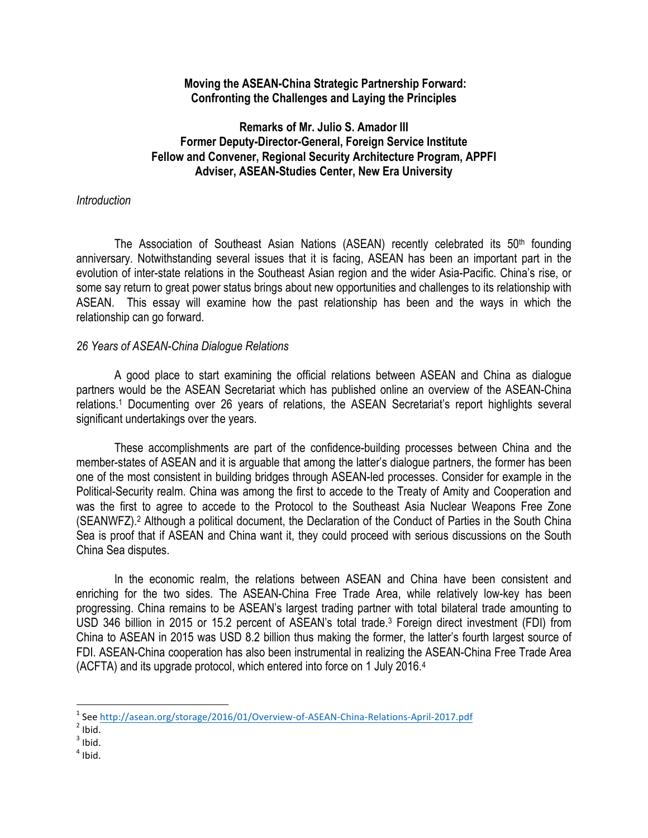### **Moving the ASEAN-China Strategic Partnership Forward: Confronting the Challenges and Laying the Principles**

# **Remarks of Mr. Julio S. Amador III Former Deputy-Director-General, Foreign Service Institute Fellow and Convener, Regional Security Architecture Program, APPFI Adviser, ASEAN-Studies Center, New Era University**

### *Introduction*

The Association of Southeast Asian Nations (ASEAN) recently celebrated its 50<sup>th</sup> founding anniversary. Notwithstanding several issues that it is facing, ASEAN has been an important part in the evolution of inter-state relations in the Southeast Asian region and the wider Asia-Pacific. China's rise, or some say return to great power status brings about new opportunities and challenges to its relationship with ASEAN. This essay will examine how the past relationship has been and the ways in which the relationship can go forward.

## *26 Years of ASEAN-China Dialogue Relations*

A good place to start examining the official relations between ASEAN and China as dialogue partners would be the ASEAN Secretariat which has published online an overview of the ASEAN-China relations.1 Documenting over 26 years of relations, the ASEAN Secretariat's report highlights several significant undertakings over the years.

These accomplishments are part of the confidence-building processes between China and the member-states of ASEAN and it is arguable that among the latter's dialogue partners, the former has been one of the most consistent in building bridges through ASEAN-led processes. Consider for example in the Political-Security realm. China was among the first to accede to the Treaty of Amity and Cooperation and was the first to agree to accede to the Protocol to the Southeast Asia Nuclear Weapons Free Zone (SEANWFZ).2 Although a political document, the Declaration of the Conduct of Parties in the South China Sea is proof that if ASEAN and China want it, they could proceed with serious discussions on the South China Sea disputes.

In the economic realm, the relations between ASEAN and China have been consistent and enriching for the two sides. The ASEAN-China Free Trade Area, while relatively low-key has been progressing. China remains to be ASEAN's largest trading partner with total bilateral trade amounting to USD 346 billion in 2015 or 15.2 percent of ASEAN's total trade.<sup>3</sup> Foreign direct investment (FDI) from China to ASEAN in 2015 was USD 8.2 billion thus making the former, the latter's fourth largest source of FDI. ASEAN-China cooperation has also been instrumental in realizing the ASEAN-China Free Trade Area (ACFTA) and its upgrade protocol, which entered into force on 1 July 2016.4

<u> 1989 - Jan Samuel Barbara, margaret e</u>

<sup>&</sup>lt;sup>1</sup> See http://asean.org/storage/2016/01/Overview-of-ASEAN-China-Relations-April-2017.pdf<sup>2</sup><br><sup>2</sup> Ihid.

 $3$  Ibid.

 $<sup>4</sup>$  Ibid.</sup>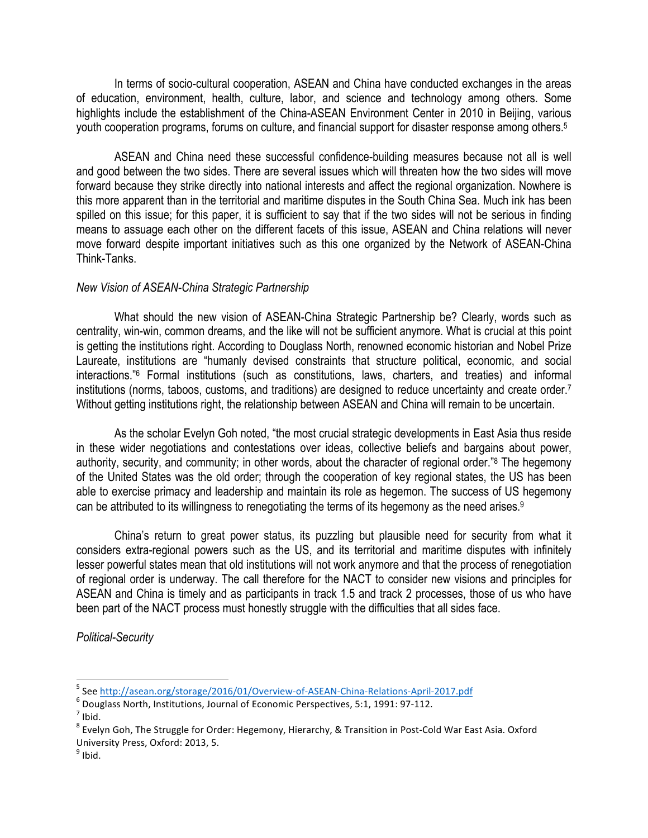In terms of socio-cultural cooperation, ASEAN and China have conducted exchanges in the areas of education, environment, health, culture, labor, and science and technology among others. Some highlights include the establishment of the China-ASEAN Environment Center in 2010 in Beijing, various youth cooperation programs, forums on culture, and financial support for disaster response among others.<sup>5</sup>

ASEAN and China need these successful confidence-building measures because not all is well and good between the two sides. There are several issues which will threaten how the two sides will move forward because they strike directly into national interests and affect the regional organization. Nowhere is this more apparent than in the territorial and maritime disputes in the South China Sea. Much ink has been spilled on this issue; for this paper, it is sufficient to say that if the two sides will not be serious in finding means to assuage each other on the different facets of this issue, ASEAN and China relations will never move forward despite important initiatives such as this one organized by the Network of ASEAN-China Think-Tanks.

#### *New Vision of ASEAN-China Strategic Partnership*

What should the new vision of ASEAN-China Strategic Partnership be? Clearly, words such as centrality, win-win, common dreams, and the like will not be sufficient anymore. What is crucial at this point is getting the institutions right. According to Douglass North, renowned economic historian and Nobel Prize Laureate, institutions are "humanly devised constraints that structure political, economic, and social interactions."6 Formal institutions (such as constitutions, laws, charters, and treaties) and informal institutions (norms, taboos, customs, and traditions) are designed to reduce uncertainty and create order.7 Without getting institutions right, the relationship between ASEAN and China will remain to be uncertain.

As the scholar Evelyn Goh noted, "the most crucial strategic developments in East Asia thus reside in these wider negotiations and contestations over ideas, collective beliefs and bargains about power, authority, security, and community; in other words, about the character of regional order."8 The hegemony of the United States was the old order; through the cooperation of key regional states, the US has been able to exercise primacy and leadership and maintain its role as hegemon. The success of US hegemony can be attributed to its willingness to renegotiating the terms of its hegemony as the need arises.<sup>9</sup>

China's return to great power status, its puzzling but plausible need for security from what it considers extra-regional powers such as the US, and its territorial and maritime disputes with infinitely lesser powerful states mean that old institutions will not work anymore and that the process of renegotiation of regional order is underway. The call therefore for the NACT to consider new visions and principles for ASEAN and China is timely and as participants in track 1.5 and track 2 processes, those of us who have been part of the NACT process must honestly struggle with the difficulties that all sides face.

*Political-Security*

<u> 1989 - Jan Samuel Barbara, margaret e</u>

<sup>&</sup>lt;sup>5</sup> See  $\frac{http://asean.org/storage/2016/01/Overview-of-ASEAN-China-Relationship-2017.pdf}{$ <br>
<sup>6</sup> Douglass North, Institutions, Journal of Economic Perspectives, 5:1, 1991: 97-112.<br>
<sup>7</sup> Ibid.

 $8$  Evelyn Goh, The Struggle for Order: Hegemony, Hierarchy, & Transition in Post-Cold War East Asia. Oxford University Press, Oxford: 2013, 5.

 $9$  Ibid.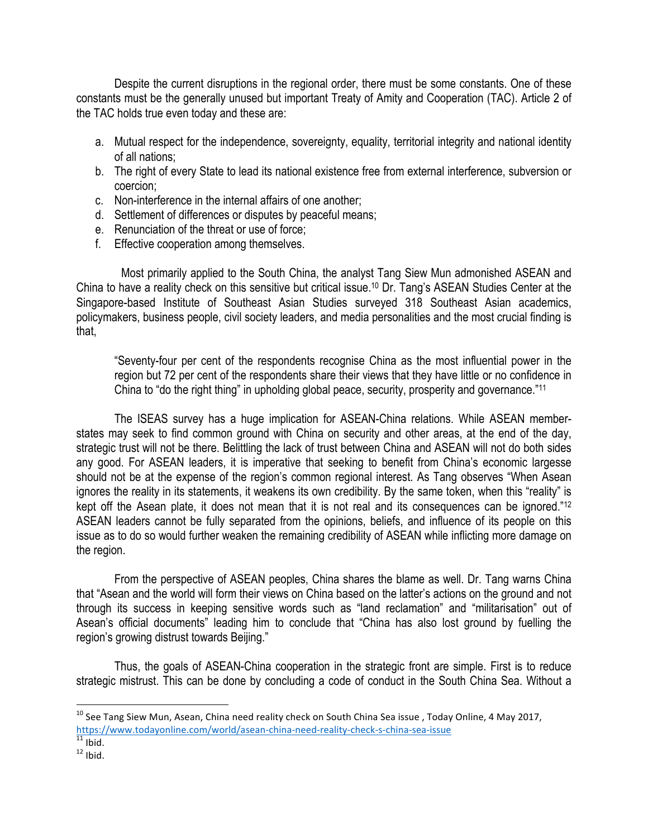Despite the current disruptions in the regional order, there must be some constants. One of these constants must be the generally unused but important Treaty of Amity and Cooperation (TAC). Article 2 of the TAC holds true even today and these are:

- a. Mutual respect for the independence, sovereignty, equality, territorial integrity and national identity of all nations;
- b. The right of every State to lead its national existence free from external interference, subversion or coercion;
- c. Non-interference in the internal affairs of one another;
- d. Settlement of differences or disputes by peaceful means;
- e. Renunciation of the threat or use of force;
- f. Effective cooperation among themselves.

Most primarily applied to the South China, the analyst Tang Siew Mun admonished ASEAN and China to have a reality check on this sensitive but critical issue.10 Dr. Tang's ASEAN Studies Center at the Singapore-based Institute of Southeast Asian Studies surveyed 318 Southeast Asian academics, policymakers, business people, civil society leaders, and media personalities and the most crucial finding is that,

"Seventy-four per cent of the respondents recognise China as the most influential power in the region but 72 per cent of the respondents share their views that they have little or no confidence in China to "do the right thing" in upholding global peace, security, prosperity and governance."11

The ISEAS survey has a huge implication for ASEAN-China relations. While ASEAN memberstates may seek to find common ground with China on security and other areas, at the end of the day, strategic trust will not be there. Belittling the lack of trust between China and ASEAN will not do both sides any good. For ASEAN leaders, it is imperative that seeking to benefit from China's economic largesse should not be at the expense of the region's common regional interest. As Tang observes "When Asean ignores the reality in its statements, it weakens its own credibility. By the same token, when this "reality" is kept off the Asean plate, it does not mean that it is not real and its consequences can be ignored."<sup>12</sup> ASEAN leaders cannot be fully separated from the opinions, beliefs, and influence of its people on this issue as to do so would further weaken the remaining credibility of ASEAN while inflicting more damage on the region.

From the perspective of ASEAN peoples, China shares the blame as well. Dr. Tang warns China that "Asean and the world will form their views on China based on the latter's actions on the ground and not through its success in keeping sensitive words such as "land reclamation" and "militarisation" out of Asean's official documents" leading him to conclude that "China has also lost ground by fuelling the region's growing distrust towards Beijing."

Thus, the goals of ASEAN-China cooperation in the strategic front are simple. First is to reduce strategic mistrust. This can be done by concluding a code of conduct in the South China Sea. Without a

<u> 1989 - Jan Samuel Barbara, margaret e</u>

 $^{10}$  See Tang Siew Mun, Asean, China need reality check on South China Sea issue, Today Online, 4 May 2017, https://www.todayonline.com/world/asean-china-need-reality-check-s-china-sea-issue<br>
<sup>11</sup> Ibid.<br>
<sup>12</sup> Ibid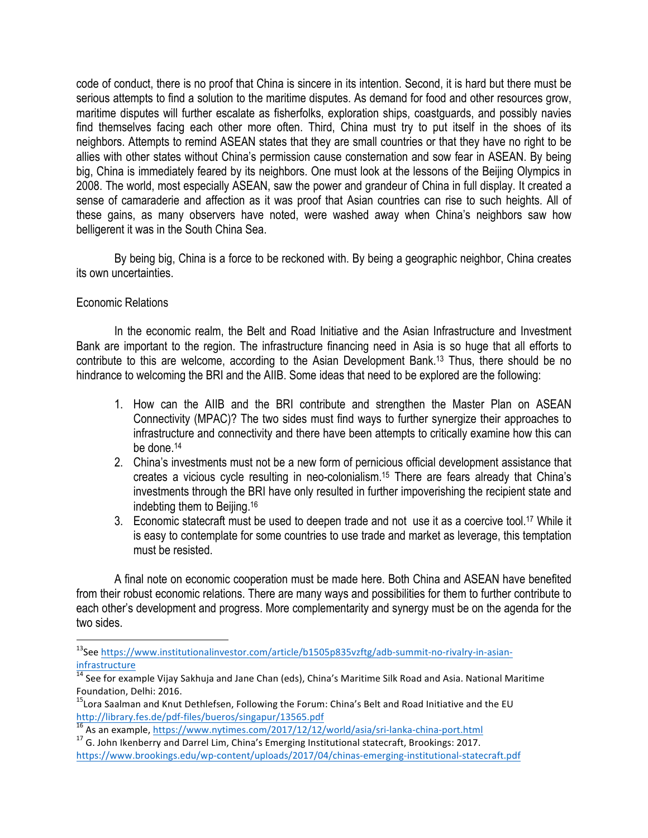code of conduct, there is no proof that China is sincere in its intention. Second, it is hard but there must be serious attempts to find a solution to the maritime disputes. As demand for food and other resources grow, maritime disputes will further escalate as fisherfolks, exploration ships, coastguards, and possibly navies find themselves facing each other more often. Third, China must try to put itself in the shoes of its neighbors. Attempts to remind ASEAN states that they are small countries or that they have no right to be allies with other states without China's permission cause consternation and sow fear in ASEAN. By being big, China is immediately feared by its neighbors. One must look at the lessons of the Beijing Olympics in 2008. The world, most especially ASEAN, saw the power and grandeur of China in full display. It created a sense of camaraderie and affection as it was proof that Asian countries can rise to such heights. All of these gains, as many observers have noted, were washed away when China's neighbors saw how belligerent it was in the South China Sea.

By being big, China is a force to be reckoned with. By being a geographic neighbor, China creates its own uncertainties.

## Economic Relations

<u> 1989 - Jan Samuel Barbara, margaret e</u>

In the economic realm, the Belt and Road Initiative and the Asian Infrastructure and Investment Bank are important to the region. The infrastructure financing need in Asia is so huge that all efforts to contribute to this are welcome, according to the Asian Development Bank.13 Thus, there should be no hindrance to welcoming the BRI and the AIIB. Some ideas that need to be explored are the following:

- 1. How can the AIIB and the BRI contribute and strengthen the Master Plan on ASEAN Connectivity (MPAC)? The two sides must find ways to further synergize their approaches to infrastructure and connectivity and there have been attempts to critically examine how this can be done.14
- 2. China's investments must not be a new form of pernicious official development assistance that creates a vicious cycle resulting in neo-colonialism.15 There are fears already that China's investments through the BRI have only resulted in further impoverishing the recipient state and indebting them to Beijing.16
- 3. Economic statecraft must be used to deepen trade and not use it as a coercive tool.17 While it is easy to contemplate for some countries to use trade and market as leverage, this temptation must be resisted.

A final note on economic cooperation must be made here. Both China and ASEAN have benefited from their robust economic relations. There are many ways and possibilities for them to further contribute to each other's development and progress. More complementarity and synergy must be on the agenda for the two sides.

<sup>&</sup>lt;sup>13</sup>See https://www.institutionalinvestor.com/article/b1505p835vzftg/adb-summit-no-rivalry-in-asianinfrastructure

 $^{14}$  See for example Vijay Sakhuja and Jane Chan (eds), China's Maritime Silk Road and Asia. National Maritime Foundation, Delhi: 2016.

 $15$ Lora Saalman and Knut Dethlefsen, Following the Forum: China's Belt and Road Initiative and the EU

http://library.fes.de/pdf-files/bueros/singapur/13565.pdf<br>
<sup>16</sup> As an example, https://www.nytimes.com/2017/12/12/world/asia/sri-lanka-china-port.html<br>
<sup>17</sup> G. John Ikenberry and Darrel Lim, China's Emerging Institutional

https://www.brookings.edu/wp-content/uploads/2017/04/chinas-emerging-institutional-statecraft.pdf